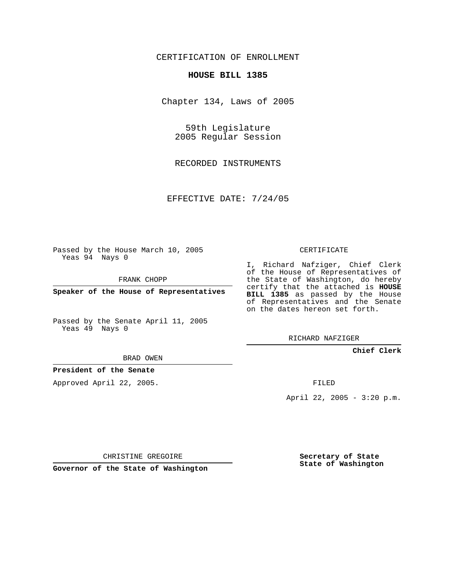CERTIFICATION OF ENROLLMENT

## **HOUSE BILL 1385**

Chapter 134, Laws of 2005

59th Legislature 2005 Regular Session

RECORDED INSTRUMENTS

EFFECTIVE DATE: 7/24/05

Passed by the House March 10, 2005 Yeas 94 Nays 0

FRANK CHOPP

**Speaker of the House of Representatives**

Passed by the Senate April 11, 2005 Yeas 49 Nays 0

BRAD OWEN

**President of the Senate**

Approved April 22, 2005.

CERTIFICATE

I, Richard Nafziger, Chief Clerk of the House of Representatives of the State of Washington, do hereby certify that the attached is **HOUSE BILL 1385** as passed by the House of Representatives and the Senate on the dates hereon set forth.

RICHARD NAFZIGER

**Chief Clerk**

FILED

April 22, 2005 - 3:20 p.m.

CHRISTINE GREGOIRE

**Governor of the State of Washington**

**Secretary of State State of Washington**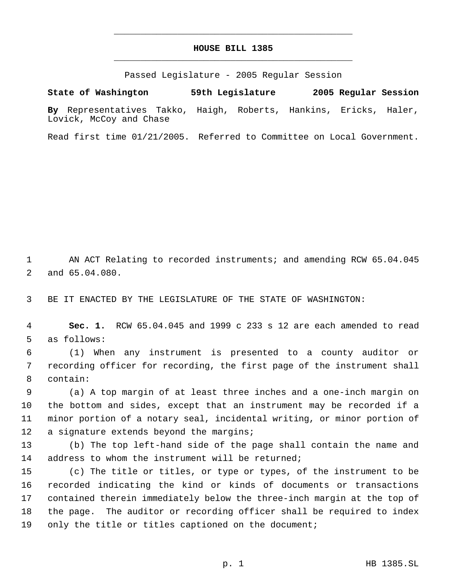## **HOUSE BILL 1385** \_\_\_\_\_\_\_\_\_\_\_\_\_\_\_\_\_\_\_\_\_\_\_\_\_\_\_\_\_\_\_\_\_\_\_\_\_\_\_\_\_\_\_\_\_

\_\_\_\_\_\_\_\_\_\_\_\_\_\_\_\_\_\_\_\_\_\_\_\_\_\_\_\_\_\_\_\_\_\_\_\_\_\_\_\_\_\_\_\_\_

Passed Legislature - 2005 Regular Session

**State of Washington 59th Legislature 2005 Regular Session By** Representatives Takko, Haigh, Roberts, Hankins, Ericks, Haler, Lovick, McCoy and Chase

Read first time 01/21/2005. Referred to Committee on Local Government.

 AN ACT Relating to recorded instruments; and amending RCW 65.04.045 and 65.04.080.

BE IT ENACTED BY THE LEGISLATURE OF THE STATE OF WASHINGTON:

 **Sec. 1.** RCW 65.04.045 and 1999 c 233 s 12 are each amended to read as follows:

 (1) When any instrument is presented to a county auditor or recording officer for recording, the first page of the instrument shall contain:

 (a) A top margin of at least three inches and a one-inch margin on the bottom and sides, except that an instrument may be recorded if a minor portion of a notary seal, incidental writing, or minor portion of 12 a signature extends beyond the margins;

 (b) The top left-hand side of the page shall contain the name and address to whom the instrument will be returned;

 (c) The title or titles, or type or types, of the instrument to be recorded indicating the kind or kinds of documents or transactions contained therein immediately below the three-inch margin at the top of the page. The auditor or recording officer shall be required to index only the title or titles captioned on the document;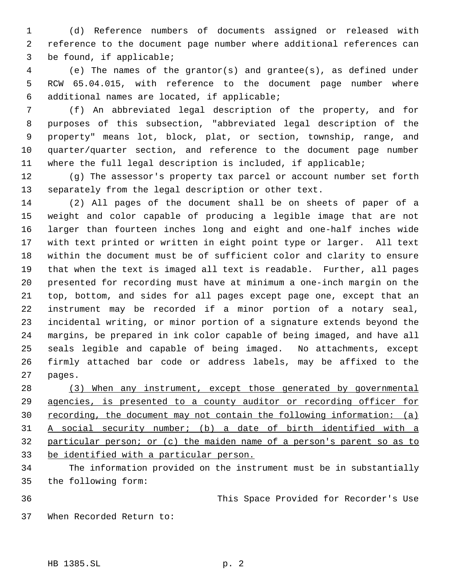(d) Reference numbers of documents assigned or released with reference to the document page number where additional references can be found, if applicable;

 (e) The names of the grantor(s) and grantee(s), as defined under RCW 65.04.015, with reference to the document page number where additional names are located, if applicable;

 (f) An abbreviated legal description of the property, and for purposes of this subsection, "abbreviated legal description of the property" means lot, block, plat, or section, township, range, and quarter/quarter section, and reference to the document page number where the full legal description is included, if applicable;

 (g) The assessor's property tax parcel or account number set forth separately from the legal description or other text.

 (2) All pages of the document shall be on sheets of paper of a weight and color capable of producing a legible image that are not larger than fourteen inches long and eight and one-half inches wide with text printed or written in eight point type or larger. All text within the document must be of sufficient color and clarity to ensure that when the text is imaged all text is readable. Further, all pages presented for recording must have at minimum a one-inch margin on the top, bottom, and sides for all pages except page one, except that an instrument may be recorded if a minor portion of a notary seal, incidental writing, or minor portion of a signature extends beyond the margins, be prepared in ink color capable of being imaged, and have all seals legible and capable of being imaged. No attachments, except firmly attached bar code or address labels, may be affixed to the pages.

 (3) When any instrument, except those generated by governmental agencies, is presented to a county auditor or recording officer for 30 recording, the document may not contain the following information: (a) A social security number; (b) a date of birth identified with a particular person; or (c) the maiden name of a person's parent so as to be identified with a particular person.

 The information provided on the instrument must be in substantially the following form:

This Space Provided for Recorder's Use

When Recorded Return to: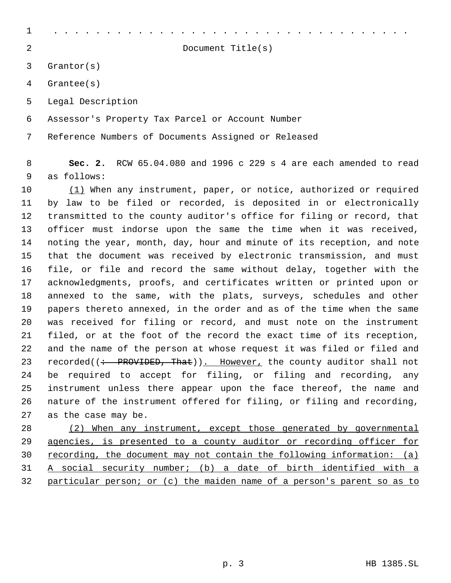| $\mathbf 1$ |                                                                                    |
|-------------|------------------------------------------------------------------------------------|
| 2           | Document $Title(s)$                                                                |
| 3           | Grantor(s)                                                                         |
| 4           | Grantee(s)                                                                         |
| 5           | Legal Description                                                                  |
| 6           | Assessor's Property Tax Parcel or Account Number                                   |
| 7           | Reference Numbers of Documents Assigned or Released                                |
| 8<br>9      | Sec. 2. RCW $65.04.080$ and 1996 c 229 s 4 are each amended to read<br>as follows: |
| 10          | (1) When any instrument, paper, or notice, authorized or required                  |
| 11          | by law to be filed or recorded, is deposited in or electronically                  |
| 12          | transmitted to the county auditor's office for filing or record, that              |
| 13          | officer must indorse upon the same the time when it was received,                  |
| 14          | noting the year, month, day, hour and minute of its reception, and note            |
| 15          | that the document was received by electronic transmission, and must                |
| 16          | file, or file and record the same without delay, together with the                 |
| 17          | acknowledgments, proofs, and certificates written or printed upon or               |
| 18          | annexed to the same, with the plats, surveys, schedules and other                  |
| 19          | papers thereto annexed, in the order and as of the time when the same              |
| 20          | was received for filing or record, and must note on the instrument                 |
| 21          | filed, or at the foot of the record the exact time of its reception,               |
| 22          | and the name of the person at whose request it was filed or filed and              |
| 23          | recorded((: PROVIDED, That)). However, the county auditor shall not                |
| 24          | be required to accept for filing, or filing and recording,<br>any                  |
| 25          | instrument unless there appear upon the face thereof, the name and                 |
| 26          | nature of the instrument offered for filing, or filing and recording,              |
| 27          | as the case may be.                                                                |
| 28          | (2) When any instrument, except those generated by governmental                    |
| 29          | agencies, is presented to a county auditor or recording officer for                |
| 30          | <u>recording, the document may not contain the following information: (a)</u>      |
| 31          | A social security number; (b) a date of birth identified with a                    |

32 particular person; or (c) the maiden name of a person's parent so as to